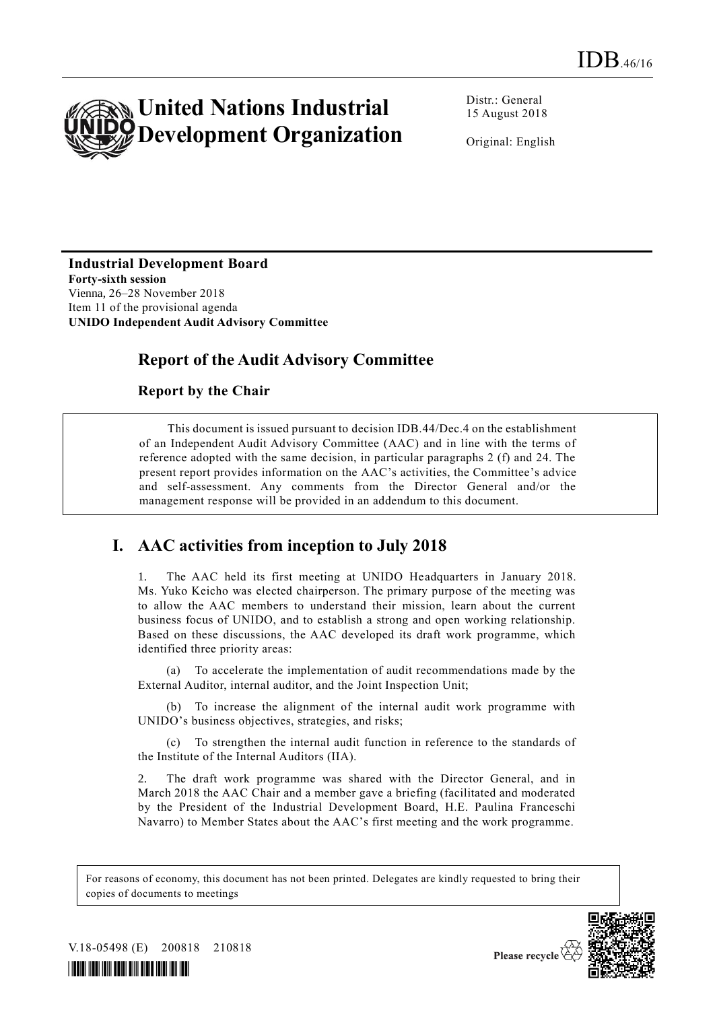

Distr.: General 15 August 2018

Original: English

## **Industrial Development Board Forty-sixth session**

Vienna, 26–28 November 2018 Item 11 of the provisional agenda **UNIDO Independent Audit Advisory Committee**

## **Report of the Audit Advisory Committee**

#### **Report by the Chair**

This document is issued pursuant to decision IDB.44/Dec.4 on the establishment of an Independent Audit Advisory Committee (AAC) and in line with the terms of reference adopted with the same decision, in particular paragraphs 2 (f) and 24. The present report provides information on the AAC's activities, the Committee's advice and self-assessment. Any comments from the Director General and/or the management response will be provided in an addendum to this document.

# **I. AAC activities from inception to July 2018**

1. The AAC held its first meeting at UNIDO Headquarters in January 2018. Ms. Yuko Keicho was elected chairperson. The primary purpose of the meeting was to allow the AAC members to understand their mission, learn about the current business focus of UNIDO, and to establish a strong and open working relationship. Based on these discussions, the AAC developed its draft work programme, which identified three priority areas:

(a) To accelerate the implementation of audit recommendations made by the External Auditor, internal auditor, and the Joint Inspection Unit;

(b) To increase the alignment of the internal audit work programme with UNIDO's business objectives, strategies, and risks;

(c) To strengthen the internal audit function in reference to the standards of the Institute of the Internal Auditors (IIA).

2. The draft work programme was shared with the Director General, and in March 2018 the AAC Chair and a member gave a briefing (facilitated and moderated by the President of the Industrial Development Board, H.E. Paulina Franceschi Navarro) to Member States about the AAC's first meeting and the work programme.

For reasons of economy, this document has not been printed. Delegates are kindly requested to bring their copies of documents to meetings



V.18-05498 (E) 200818 210818



Please recycle  $\overline{\langle}$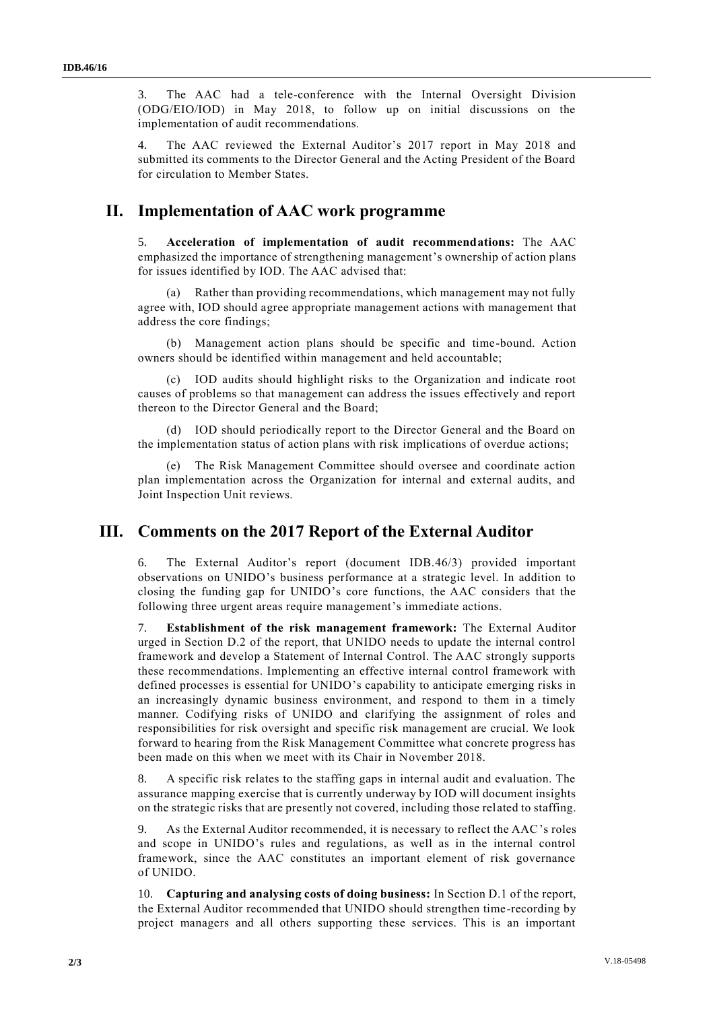3. The AAC had a tele-conference with the Internal Oversight Division (ODG/EIO/IOD) in May 2018, to follow up on initial discussions on the implementation of audit recommendations.

4. The AAC reviewed the External Auditor's 2017 report in May 2018 and submitted its comments to the Director General and the Acting President of the Board for circulation to Member States.

## **II. Implementation of AAC work programme**

5. **Acceleration of implementation of audit recommendations:** The AAC emphasized the importance of strengthening management's ownership of action plans for issues identified by IOD. The AAC advised that:

Rather than providing recommendations, which management may not fully agree with, IOD should agree appropriate management actions with management that address the core findings;

(b) Management action plans should be specific and time-bound. Action owners should be identified within management and held accountable;

(c) IOD audits should highlight risks to the Organization and indicate root causes of problems so that management can address the issues effectively and report thereon to the Director General and the Board;

(d) IOD should periodically report to the Director General and the Board on the implementation status of action plans with risk implications of overdue actions;

(e) The Risk Management Committee should oversee and coordinate action plan implementation across the Organization for internal and external audits, and Joint Inspection Unit reviews.

## **III. Comments on the 2017 Report of the External Auditor**

6. The External Auditor's report (document IDB.46/3) provided important observations on UNIDO's business performance at a strategic level. In addition to closing the funding gap for UNIDO's core functions, the AAC considers that the following three urgent areas require management's immediate actions.

7. **Establishment of the risk management framework:** The External Auditor urged in Section D.2 of the report, that UNIDO needs to update the internal control framework and develop a Statement of Internal Control. The AAC strongly supports these recommendations. Implementing an effective internal control framework with defined processes is essential for UNIDO's capability to anticipate emerging risks in an increasingly dynamic business environment, and respond to them in a timely manner. Codifying risks of UNIDO and clarifying the assignment of roles and responsibilities for risk oversight and specific risk management are crucial. We look forward to hearing from the Risk Management Committee what concrete progress has been made on this when we meet with its Chair in November 2018.

8. A specific risk relates to the staffing gaps in internal audit and evaluation. The assurance mapping exercise that is currently underway by IOD will document insights on the strategic risks that are presently not covered, including those related to staffing.

9. As the External Auditor recommended, it is necessary to reflect the AAC's roles and scope in UNIDO's rules and regulations, as well as in the internal control framework, since the AAC constitutes an important element of risk governance of UNIDO.

10. **Capturing and analysing costs of doing business:** In Section D.1 of the report, the External Auditor recommended that UNIDO should strengthen time-recording by project managers and all others supporting these services. This is an important